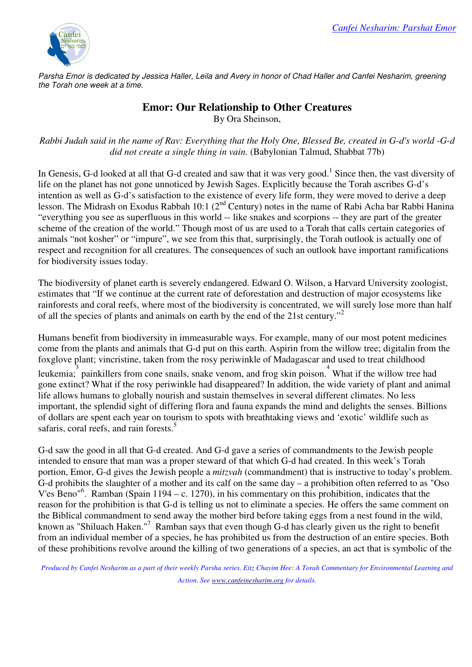

Parsha Emor is dedicated by Jessica Haller, Leila and Avery in honor of Chad Haller and Canfei Nesharim, greening the Torah one week at a time.

## **Emor: Our Relationship to Other Creatures**  By Ora Sheinson,

*Rabbi Judah said in the name of Rav: Everything that the Holy One, Blessed Be, created in G-d's world -G-d did not create a single thing in vain.* (Babylonian Talmud, Shabbat 77b)

In Genesis, G-d looked at all that G-d created and saw that it was very good.<sup>1</sup> Since then, the vast diversity of life on the planet has not gone unnoticed by Jewish Sages. Explicitly because the Torah ascribes G-d's intention as well as G-d's satisfaction to the existence of every life form, they were moved to derive a deep lesson. The Midrash on Exodus Rabbah 10:1 (2<sup>nd</sup> Century) notes in the name of Rabi Acha bar Rabbi Hanina "everything you see as superfluous in this world -- like snakes and scorpions -- they are part of the greater scheme of the creation of the world." Though most of us are used to a Torah that calls certain categories of animals "not kosher" or "impure", we see from this that, surprisingly, the Torah outlook is actually one of respect and recognition for all creatures. The consequences of such an outlook have important ramifications for biodiversity issues today.

The biodiversity of planet earth is severely endangered. Edward O. Wilson, a Harvard University zoologist, estimates that "If we continue at the current rate of deforestation and destruction of major ecosystems like rainforests and coral reefs, where most of the biodiversity is concentrated, we will surely lose more than half of all the species of plants and animals on earth by the end of the 21st century."<sup>2</sup>

Humans benefit from biodiversity in immeasurable ways. For example, many of our most potent medicines come from the plants and animals that G-d put on this earth. Aspirin from the willow tree; digitalin from the foxglove plant; vincristine, taken from the rosy periwinkle of Madagascar and used to treat childhood

leukemia; painkillers from cone snails, snake venom, and frog skin poison. What if the willow tree had gone extinct? What if the rosy periwinkle had disappeared? In addition, the wide variety of plant and animal life allows humans to globally nourish and sustain themselves in several different climates. No less important, the splendid sight of differing flora and fauna expands the mind and delights the senses. Billions of dollars are spent each year on tourism to spots with breathtaking views and 'exotic' wildlife such as safaris, coral reefs, and rain forests.<sup>5</sup>

G-d saw the good in all that G-d created. And G-d gave a series of commandments to the Jewish people intended to ensure that man was a proper steward of that which G-d had created. In this week's Torah portion, Emor, G-d gives the Jewish people a *mitzvah* (commandment) that is instructive to today's problem. G-d prohibits the slaughter of a mother and its calf on the same day – a prohibition often referred to as "Oso V'es Beno"<sup>6</sup> . Ramban (Spain 1194 – c. 1270), in his commentary on this prohibition, indicates that the reason for the prohibition is that G-d is telling us not to eliminate a species. He offers the same comment on the Biblical commandment to send away the mother bird before taking eggs from a nest found in the wild, known as "Shiluach Haken."<sup>7</sup> Ramban says that even though G-d has clearly given us the right to benefit from an individual member of a species, he has prohibited us from the destruction of an entire species. Both of these prohibitions revolve around the killing of two generations of a species, an act that is symbolic of the

*Produced by Canfei Nesharim as a part of their weekly Parsha series, Eitz Chayim Hee: A Torah Commentary for Environmental Learning and Action. See www.canfeinesharim.org for details.*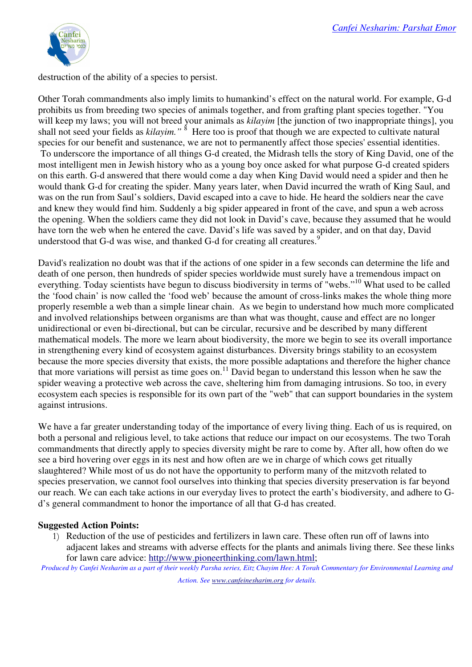

destruction of the ability of a species to persist.

Other Torah commandments also imply limits to humankind's effect on the natural world. For example, G-d prohibits us from breeding two species of animals together, and from grafting plant species together. "You will keep my laws; you will not breed your animals as *kilayim* [the junction of two inappropriate things], you shall not seed your fields as *kilayim*."<sup>8</sup> Here too is proof that though we are expected to cultivate natural species for our benefit and sustenance, we are not to permanently affect those species' essential identities. To underscore the importance of all things G-d created, the Midrash tells the story of King David, one of the most intelligent men in Jewish history who as a young boy once asked for what purpose G-d created spiders on this earth. G-d answered that there would come a day when King David would need a spider and then he would thank G-d for creating the spider. Many years later, when David incurred the wrath of King Saul, and was on the run from Saul's soldiers, David escaped into a cave to hide. He heard the soldiers near the cave and knew they would find him. Suddenly a big spider appeared in front of the cave, and spun a web across the opening. When the soldiers came they did not look in David's cave, because they assumed that he would have torn the web when he entered the cave. David's life was saved by a spider, and on that day, David understood that G-d was wise, and thanked G-d for creating all creatures.<sup>9</sup>

David's realization no doubt was that if the actions of one spider in a few seconds can determine the life and death of one person, then hundreds of spider species worldwide must surely have a tremendous impact on everything. Today scientists have begun to discuss biodiversity in terms of "webs."<sup>10</sup> What used to be called the 'food chain' is now called the 'food web' because the amount of cross-links makes the whole thing more properly resemble a web than a simple linear chain. As we begin to understand how much more complicated and involved relationships between organisms are than what was thought, cause and effect are no longer unidirectional or even bi-directional, but can be circular, recursive and be described by many different mathematical models. The more we learn about biodiversity, the more we begin to see its overall importance in strengthening every kind of ecosystem against disturbances. Diversity brings stability to an ecosystem because the more species diversity that exists, the more possible adaptations and therefore the higher chance that more variations will persist as time goes on.<sup>11</sup> David began to understand this lesson when he saw the spider weaving a protective web across the cave, sheltering him from damaging intrusions. So too, in every ecosystem each species is responsible for its own part of the "web" that can support boundaries in the system against intrusions.

We have a far greater understanding today of the importance of every living thing. Each of us is required, on both a personal and religious level, to take actions that reduce our impact on our ecosystems. The two Torah commandments that directly apply to species diversity might be rare to come by. After all, how often do we see a bird hovering over eggs in its nest and how often are we in charge of which cows get ritually slaughtered? While most of us do not have the opportunity to perform many of the mitzvoth related to species preservation, we cannot fool ourselves into thinking that species diversity preservation is far beyond our reach. We can each take actions in our everyday lives to protect the earth's biodiversity, and adhere to Gd's general commandment to honor the importance of all that G-d has created.

## **Suggested Action Points:**

1) Reduction of the use of pesticides and fertilizers in lawn care. These often run off of lawns into adjacent lakes and streams with adverse effects for the plants and animals living there. See these links for lawn care advice: http://www.pioneerthinking.com/lawn.html;

*Produced by Canfei Nesharim as a part of their weekly Parsha series, Eitz Chayim Hee: A Torah Commentary for Environmental Learning and Action. See www.canfeinesharim.org for details.*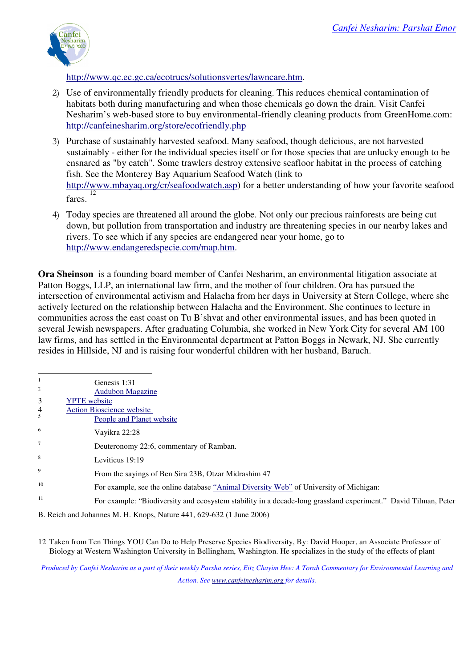

http://www.qc.ec.gc.ca/ecotrucs/solutionsvertes/lawncare.htm.

- 2) Use of environmentally friendly products for cleaning. This reduces chemical contamination of habitats both during manufacturing and when those chemicals go down the drain. Visit Canfei Nesharim's web-based store to buy environmental-friendly cleaning products from GreenHome.com: http://canfeinesharim.org/store/ecofriendly.php
- 3) Purchase of sustainably harvested seafood. Many seafood, though delicious, are not harvested sustainably - either for the individual species itself or for those species that are unlucky enough to be ensnared as "by catch". Some trawlers destroy extensive seafloor habitat in the process of catching fish. See the Monterey Bay Aquarium Seafood Watch (link to http://www.mbayaq.org/cr/seafoodwatch.asp) for a better understanding of how your favorite seafood fares. 12
- 4) Today species are threatened all around the globe. Not only our precious rainforests are being cut down, but pollution from transportation and industry are threatening species in our nearby lakes and rivers. To see which if any species are endangered near your home, go to http://www.endangeredspecie.com/map.htm.

**Ora Sheinson** is a founding board member of Canfei Nesharim, an environmental litigation associate at Patton Boggs, LLP, an international law firm, and the mother of four children. Ora has pursued the intersection of environmental activism and Halacha from her days in University at Stern College, where she actively lectured on the relationship between Halacha and the Environment. She continues to lecture in communities across the east coast on Tu B'shvat and other environmental issues, and has been quoted in several Jewish newspapers. After graduating Columbia, she worked in New York City for several AM 100 law firms, and has settled in the Environmental department at Patton Boggs in Newark, NJ. She currently resides in Hillside, NJ and is raising four wonderful children with her husband, Baruch.

|                 | Genesis 1:31                                                                                                   |
|-----------------|----------------------------------------------------------------------------------------------------------------|
| $\sqrt{2}$      | <b>Audubon Magazine</b>                                                                                        |
| 3               | <b>YPTE</b> website                                                                                            |
| 4               | <b>Action Bioscience website</b>                                                                               |
|                 | People and Planet website                                                                                      |
| 6               | Vayikra 22:28                                                                                                  |
| $7\overline{ }$ | Deuteronomy 22:6, commentary of Ramban.                                                                        |
| 8               | Leviticus 19:19                                                                                                |
| 9               | From the sayings of Ben Sira 23B, Otzar Midrashim 47                                                           |
| 10              | For example, see the online database "Animal Diversity Web" of University of Michigan:                         |
| 11              | For example: "Biodiversity and ecosystem stability in a decade-long grassland experiment." David Tilman, Peter |
|                 |                                                                                                                |

B. Reich and Johannes M. H. Knops, Nature 441, 629-632 (1 June 2006)

12 Taken from Ten Things YOU Can Do to Help Preserve Species Biodiversity, By: David Hooper, an Associate Professor of Biology at Western Washington University in Bellingham, Washington. He specializes in the study of the effects of plant

*Produced by Canfei Nesharim as a part of their weekly Parsha series, Eitz Chayim Hee: A Torah Commentary for Environmental Learning and Action. See www.canfeinesharim.org for details.*